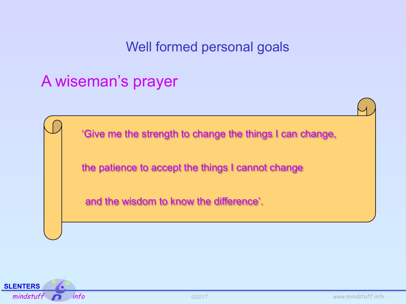## A wiseman's prayer

'Give me the strength to change the things I can change,

the patience to accept the things I cannot change

and the wisdom to know the difference'.

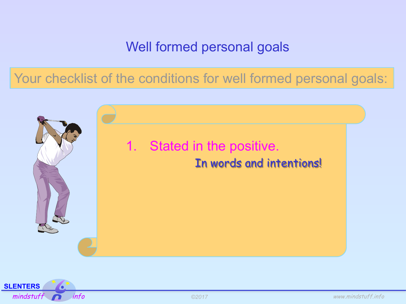Your checklist of the conditions for well formed personal goals:



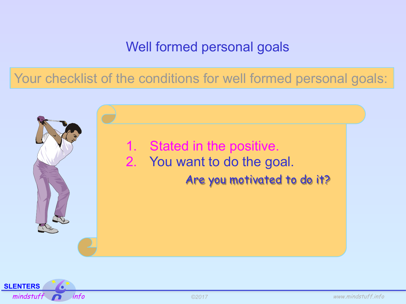Your checklist of the conditions for well formed personal goals:



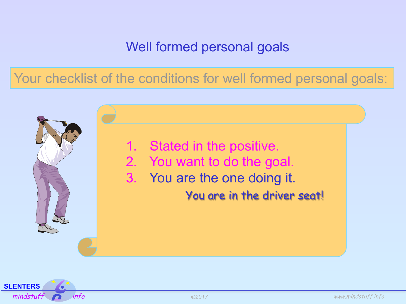Your checklist of the conditions for well formed personal goals:



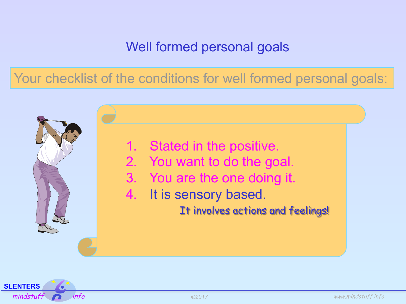Your checklist of the conditions for well formed personal goals:



- 2. You want to do the goal.
- 3. You are the one doing it.
- 4. It is sensory based.

It involves actions and feelings!

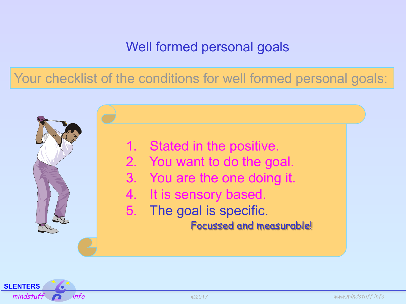Your checklist of the conditions for well formed personal goals:

1. Stated in the positive.

- 2. You want to do the goal.
- 3. You are the one doing it.
- 4. It is sensory based.
- 5. The goal is specific.

Focussed and measurable!

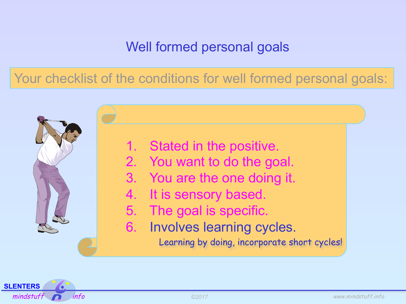Your checklist of the conditions for well formed personal goals:

1. Stated in the positive.

- 2. You want to do the goal.
- 3. You are the one doing it.
- 4. It is sensory based.
- 5. The goal is specific.
- 6. Involves learning cycles.

Learning by doing, incorporate short cycles!